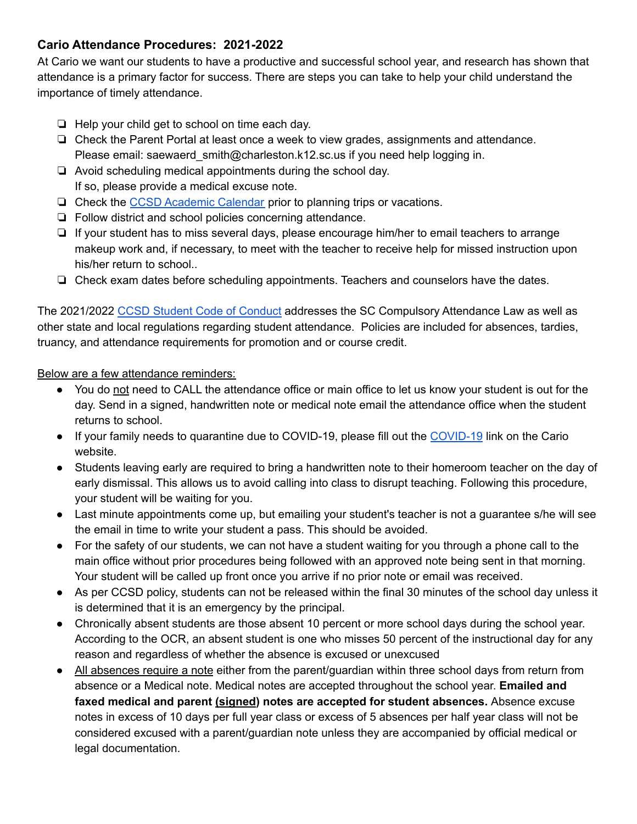# **Cario Attendance Procedures: 2021-2022**

At Cario we want our students to have a productive and successful school year, and research has shown that attendance is a primary factor for success. There are steps you can take to help your child understand the importance of timely attendance.

- ❏ Help your child get to school on time each day.
- ❏ Check the Parent Portal at least once a week to view grades, assignments and attendance. Please email: saewaerd smith@charleston.k12.sc.us if you need help logging in.
- ❏ Avoid scheduling medical appointments during the school day. If so, please provide a medical excuse note.
- ❏ Check the CCSD [Academic](https://www.ccsdschools.com/academiccalendar) Calendar prior to planning trips or vacations.
- ❏ Follow district and school policies concerning attendance.
- ❏ If your student has to miss several days, please encourage him/her to email teachers to arrange makeup work and, if necessary, to meet with the teacher to receive help for missed instruction upon his/her return to school..
- ❏ Check exam dates before scheduling appointments. Teachers and counselors have the dates.

The 2021/2022 CCSD Student Code of [Conduct](https://www.ccsdschools.com/conduct) addresses the SC Compulsory Attendance Law as well as other state and local regulations regarding student attendance. Policies are included for absences, tardies, truancy, and attendance requirements for promotion and or course credit.

Below are a few attendance reminders:

- You do not need to CALL the attendance office or main office to let us know your student is out for the day. Send in a signed, handwritten note or medical note email the attendance office when the student returns to school.
- If your family needs to quarantine due to COVID-19, please fill out the [COVID-19](https://docs.google.com/forms/d/e/1FAIpQLScQnRaJzMp3XtYGbbQKroamglLvFSSQ6hYrziCPgzcJMxOE_A/viewform) link on the Cario website.
- Students leaving early are required to bring a handwritten note to their homeroom teacher on the day of early dismissal. This allows us to avoid calling into class to disrupt teaching. Following this procedure, your student will be waiting for you.
- Last minute appointments come up, but emailing your student's teacher is not a guarantee s/he will see the email in time to write your student a pass. This should be avoided.
- For the safety of our students, we can not have a student waiting for you through a phone call to the main office without prior procedures being followed with an approved note being sent in that morning. Your student will be called up front once you arrive if no prior note or email was received.
- As per CCSD policy, students can not be released within the final 30 minutes of the school day unless it is determined that it is an emergency by the principal.
- Chronically absent students are those absent 10 percent or more school days during the school year. According to the OCR, an absent student is one who misses 50 percent of the instructional day for any reason and regardless of whether the absence is excused or unexcused
- All absences require a note either from the parent/guardian within three school days from return from absence or a Medical note. Medical notes are accepted throughout the school year. **Emailed and faxed medical and parent (signed) notes are accepted for student absences.** Absence excuse notes in excess of 10 days per full year class or excess of 5 absences per half year class will not be considered excused with a parent/guardian note unless they are accompanied by official medical or legal documentation.